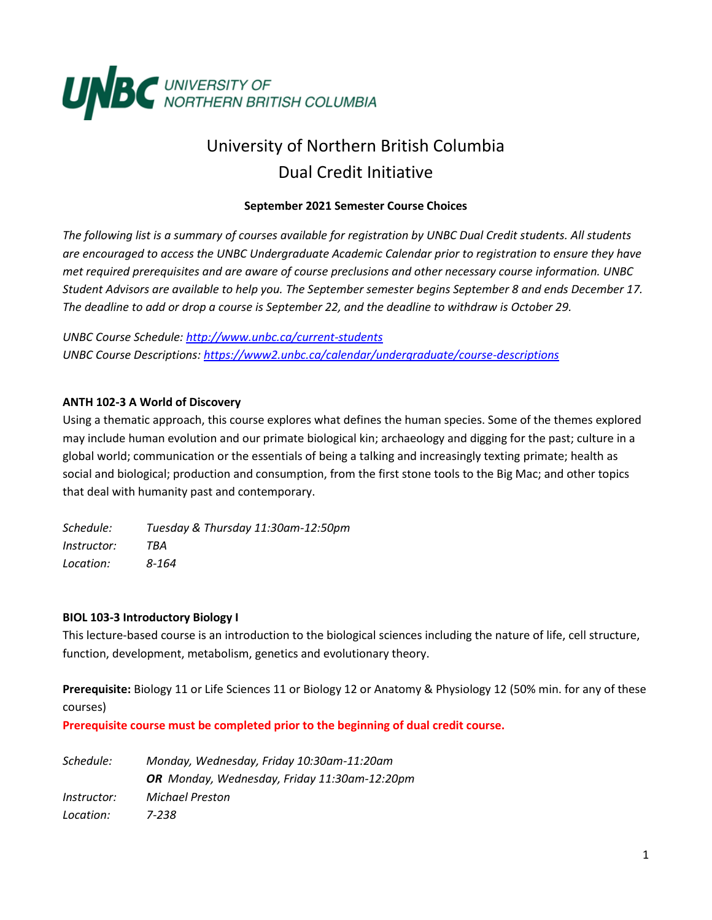

# University of Northern British Columbia Dual Credit Initiative

## **September 2021 Semester Course Choices**

*The following list is a summary of courses available for registration by UNBC Dual Credit students. All students are encouraged to access the UNBC Undergraduate Academic Calendar prior to registration to ensure they have met required prerequisites and are aware of course preclusions and other necessary course information. UNBC Student Advisors are available to help you. The September semester begins September 8 and ends December 17. The deadline to add or drop a course is September 22, and the deadline to withdraw is October 29.*

*UNBC Course Schedule:<http://www.unbc.ca/current-students> UNBC Course Descriptions:<https://www2.unbc.ca/calendar/undergraduate/course-descriptions>*

## **ANTH 102-3 A World of Discovery**

Using a thematic approach, this course explores what defines the human species. Some of the themes explored may include human evolution and our primate biological kin; archaeology and digging for the past; culture in a global world; communication or the essentials of being a talking and increasingly texting primate; health as social and biological; production and consumption, from the first stone tools to the Big Mac; and other topics that deal with humanity past and contemporary.

*Schedule: Tuesday & Thursday 11:30am-12:50pm Instructor: TBA Location: 8-164*

## **BIOL 103-3 Introductory Biology I**

This lecture-based course is an introduction to the biological sciences including the nature of life, cell structure, function, development, metabolism, genetics and evolutionary theory.

**Prerequisite:** Biology 11 or Life Sciences 11 or Biology 12 or Anatomy & Physiology 12 (50% min. for any of these courses)

**Prerequisite course must be completed prior to the beginning of dual credit course.**

| Schedule:          | Monday, Wednesday, Friday 10:30am-11:20am    |
|--------------------|----------------------------------------------|
|                    | OR Monday, Wednesday, Friday 11:30am-12:20pm |
| <i>Instructor:</i> | Michael Preston                              |
| Location:          | 7-238                                        |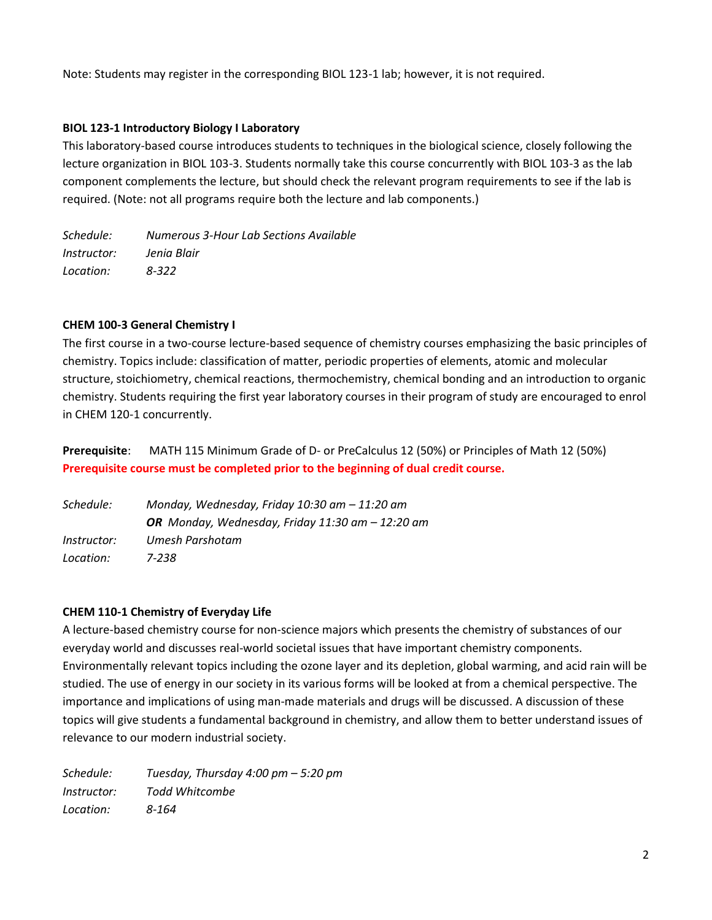Note: Students may register in the corresponding BIOL 123-1 lab; however, it is not required.

## **BIOL 123-1 Introductory Biology I Laboratory**

This laboratory-based course introduces students to techniques in the biological science, closely following the lecture organization in BIOL 103-3. Students normally take this course concurrently with BIOL 103-3 as the lab component complements the lecture, but should check the relevant program requirements to see if the lab is required. (Note: not all programs require both the lecture and lab components.)

*Schedule: Numerous 3-Hour Lab Sections Available Instructor: Jenia Blair Location: 8-322*

## **CHEM 100-3 General Chemistry I**

The first course in a two-course lecture-based sequence of chemistry courses emphasizing the basic principles of chemistry. Topics include: classification of matter, periodic properties of elements, atomic and molecular structure, stoichiometry, chemical reactions, thermochemistry, chemical bonding and an introduction to organic chemistry. Students requiring the first year laboratory courses in their program of study are encouraged to enrol in CHEM 120-1 concurrently.

**Prerequisite**: MATH 115 Minimum Grade of D- or PreCalculus 12 (50%) or Principles of Math 12 (50%) **Prerequisite course must be completed prior to the beginning of dual credit course.**

| Schedule:          | Monday, Wednesday, Friday 10:30 am - 11:20 am      |
|--------------------|----------------------------------------------------|
|                    | OR Monday, Wednesday, Friday 11:30 am $-$ 12:20 am |
| <i>Instructor:</i> | Umesh Parshotam                                    |
| Location:          | 7-238                                              |

## **CHEM 110-1 Chemistry of Everyday Life**

A lecture-based chemistry course for non-science majors which presents the chemistry of substances of our everyday world and discusses real-world societal issues that have important chemistry components. Environmentally relevant topics including the ozone layer and its depletion, global warming, and acid rain will be studied. The use of energy in our society in its various forms will be looked at from a chemical perspective. The importance and implications of using man-made materials and drugs will be discussed. A discussion of these topics will give students a fundamental background in chemistry, and allow them to better understand issues of relevance to our modern industrial society.

*Schedule: Tuesday, Thursday 4:00 pm – 5:20 pm Instructor: Todd Whitcombe Location: 8-164*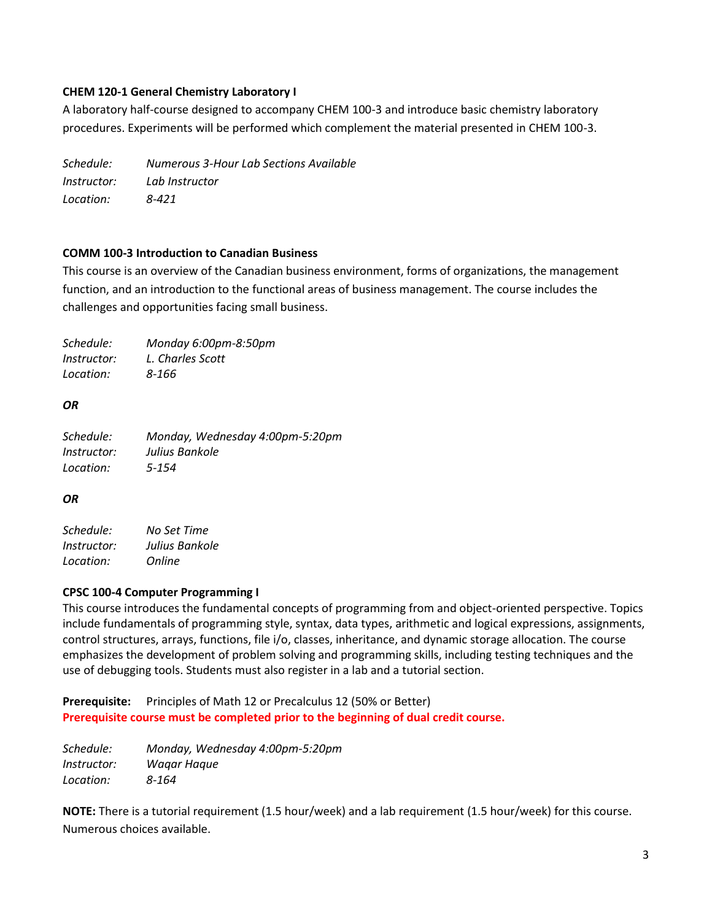## **CHEM 120-1 General Chemistry Laboratory I**

A laboratory half-course designed to accompany CHEM 100-3 and introduce basic chemistry laboratory procedures. Experiments will be performed which complement the material presented in CHEM 100-3.

| Schedule:          | Numerous 3-Hour Lab Sections Available |
|--------------------|----------------------------------------|
| <i>Instructor:</i> | Lab Instructor                         |
| Location:          | 8-421                                  |

## **COMM 100-3 Introduction to Canadian Business**

This course is an overview of the Canadian business environment, forms of organizations, the management function, and an introduction to the functional areas of business management. The course includes the challenges and opportunities facing small business.

| Schedule:          | Monday 6:00pm-8:50pm |
|--------------------|----------------------|
| <i>Instructor:</i> | L. Charles Scott     |
| Location:          | 8-166                |

## *OR*

| Schedule:          | Monday, Wednesday 4:00pm-5:20pm |
|--------------------|---------------------------------|
| <i>Instructor:</i> | Julius Bankole                  |
| Location:          | 5-154                           |

## *OR*

*Schedule: No Set Time Instructor: Julius Bankole Location: Online*

## **CPSC 100-4 Computer Programming I**

This course introduces the fundamental concepts of programming from and object-oriented perspective. Topics include fundamentals of programming style, syntax, data types, arithmetic and logical expressions, assignments, control structures, arrays, functions, file i/o, classes, inheritance, and dynamic storage allocation. The course emphasizes the development of problem solving and programming skills, including testing techniques and the use of debugging tools. Students must also register in a lab and a tutorial section.

**Prerequisite:** Principles of Math 12 or Precalculus 12 (50% or Better) **Prerequisite course must be completed prior to the beginning of dual credit course.**

*Schedule: Monday, Wednesday 4:00pm-5:20pm Instructor: Waqar Haque Location: 8-164*

**NOTE:** There is a tutorial requirement (1.5 hour/week) and a lab requirement (1.5 hour/week) for this course. Numerous choices available.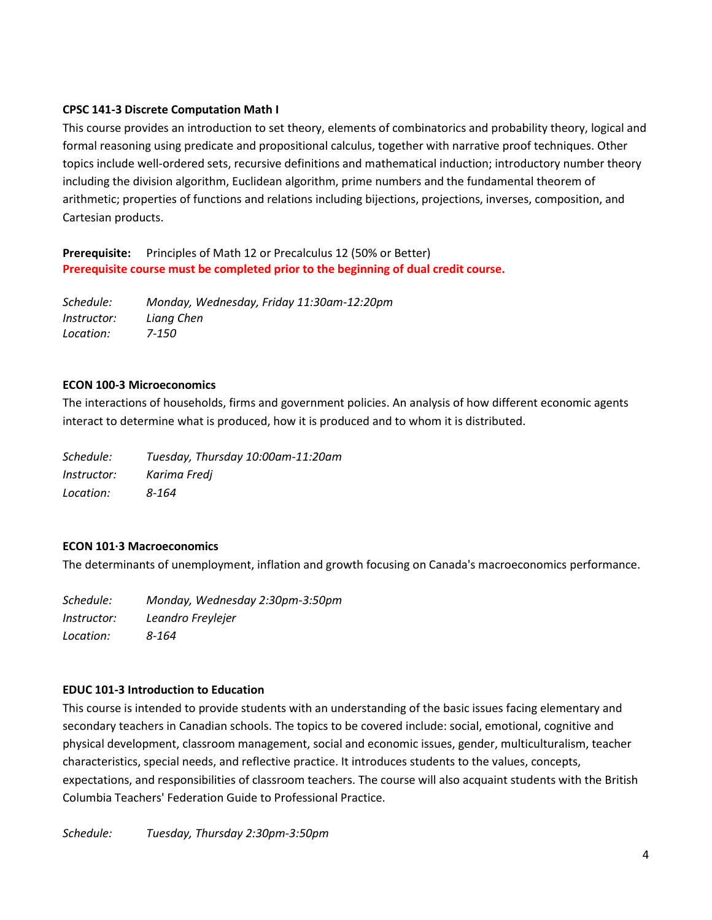## **CPSC 141-3 Discrete Computation Math I**

This course provides an introduction to set theory, elements of combinatorics and probability theory, logical and formal reasoning using predicate and propositional calculus, together with narrative proof techniques. Other topics include well-ordered sets, recursive definitions and mathematical induction; introductory number theory including the division algorithm, Euclidean algorithm, prime numbers and the fundamental theorem of arithmetic; properties of functions and relations including bijections, projections, inverses, composition, and Cartesian products.

**Prerequisite:** Principles of Math 12 or Precalculus 12 (50% or Better) **Prerequisite course must be completed prior to the beginning of dual credit course.**

*Schedule: Monday, Wednesday, Friday 11:30am-12:20pm Instructor: Liang Chen Location: 7-150*

## **ECON 100-3 Microeconomics**

The interactions of households, firms and government policies. An analysis of how different economic agents interact to determine what is produced, how it is produced and to whom it is distributed.

*Schedule: Tuesday, Thursday 10:00am-11:20am Instructor: Karima Fredj Location: 8-164*

# **ECON 101·3 Macroeconomics**

The determinants of unemployment, inflation and growth focusing on Canada's macroeconomics performance.

*Schedule: Monday, Wednesday 2:30pm-3:50pm Instructor: Leandro Freylejer Location: 8-164*

# **EDUC 101-3 Introduction to Education**

This course is intended to provide students with an understanding of the basic issues facing elementary and secondary teachers in Canadian schools. The topics to be covered include: social, emotional, cognitive and physical development, classroom management, social and economic issues, gender, multiculturalism, teacher characteristics, special needs, and reflective practice. It introduces students to the values, concepts, expectations, and responsibilities of classroom teachers. The course will also acquaint students with the British Columbia Teachers' Federation Guide to Professional Practice.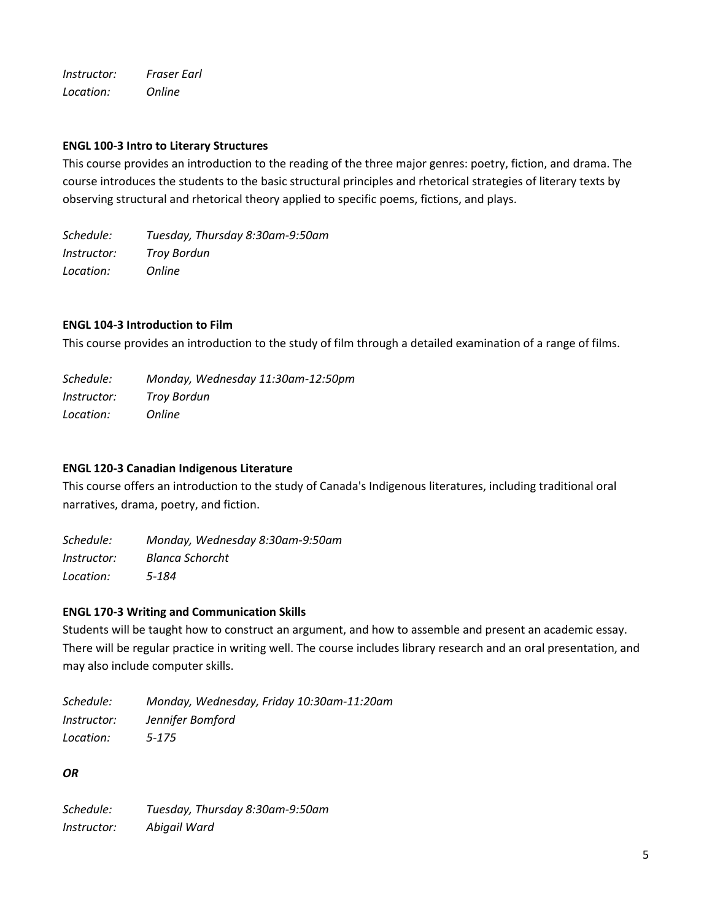*Instructor: Fraser Earl Location: Online*

## **ENGL 100-3 Intro to Literary Structures**

This course provides an introduction to the reading of the three major genres: poetry, fiction, and drama. The course introduces the students to the basic structural principles and rhetorical strategies of literary texts by observing structural and rhetorical theory applied to specific poems, fictions, and plays.

*Schedule: Tuesday, Thursday 8:30am-9:50am Instructor: Troy Bordun Location: Online*

## **ENGL 104-3 Introduction to Film**

This course provides an introduction to the study of film through a detailed examination of a range of films.

| Schedule:          | Monday, Wednesday 11:30am-12:50pm |
|--------------------|-----------------------------------|
| <i>Instructor:</i> | <b>Troy Bordun</b>                |
| Location:          | <i>Online</i>                     |

## **ENGL 120-3 Canadian Indigenous Literature**

This course offers an introduction to the study of Canada's Indigenous literatures, including traditional oral narratives, drama, poetry, and fiction.

*Schedule: Monday, Wednesday 8:30am-9:50am Instructor: Blanca Schorcht Location: 5-184*

## **ENGL 170-3 Writing and Communication Skills**

Students will be taught how to construct an argument, and how to assemble and present an academic essay. There will be regular practice in writing well. The course includes library research and an oral presentation, and may also include computer skills.

*Schedule: Monday, Wednesday, Friday 10:30am-11:20am Instructor: Jennifer Bomford Location: 5-175*

*OR*

*Schedule: Tuesday, Thursday 8:30am-9:50am Instructor: Abigail Ward*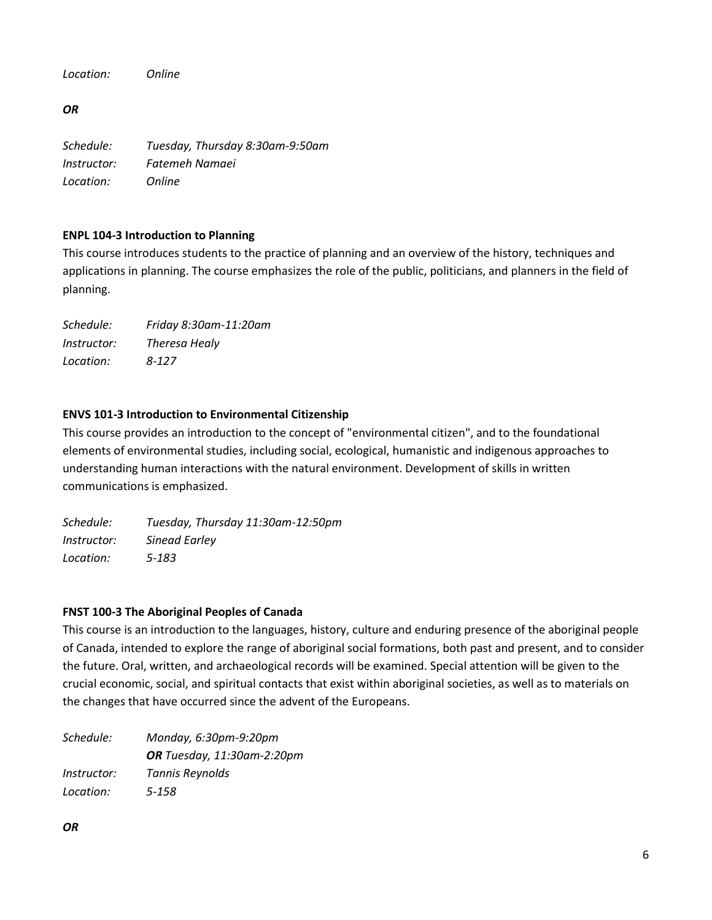*Location: Online*

*OR*

*Schedule: Tuesday, Thursday 8:30am-9:50am Instructor: Fatemeh Namaei Location: Online*

# **ENPL 104-3 Introduction to Planning**

This course introduces students to the practice of planning and an overview of the history, techniques and applications in planning. The course emphasizes the role of the public, politicians, and planners in the field of planning.

*Schedule: Friday 8:30am-11:20am Instructor: Theresa Healy Location: 8-127*

# **ENVS 101-3 Introduction to Environmental Citizenship**

This course provides an introduction to the concept of "environmental citizen", and to the foundational elements of environmental studies, including social, ecological, humanistic and indigenous approaches to understanding human interactions with the natural environment. Development of skills in written communications is emphasized.

*Schedule: Tuesday, Thursday 11:30am-12:50pm Instructor: Sinead Earley Location: 5-183*

# **FNST 100-3 The Aboriginal Peoples of Canada**

This course is an introduction to the languages, history, culture and enduring presence of the aboriginal people of Canada, intended to explore the range of aboriginal social formations, both past and present, and to consider the future. Oral, written, and archaeological records will be examined. Special attention will be given to the crucial economic, social, and spiritual contacts that exist within aboriginal societies, as well as to materials on the changes that have occurred since the advent of the Europeans.

*Schedule: Monday, 6:30pm-9:20pm OR Tuesday, 11:30am-2:20pm Instructor: Tannis Reynolds Location: 5-158*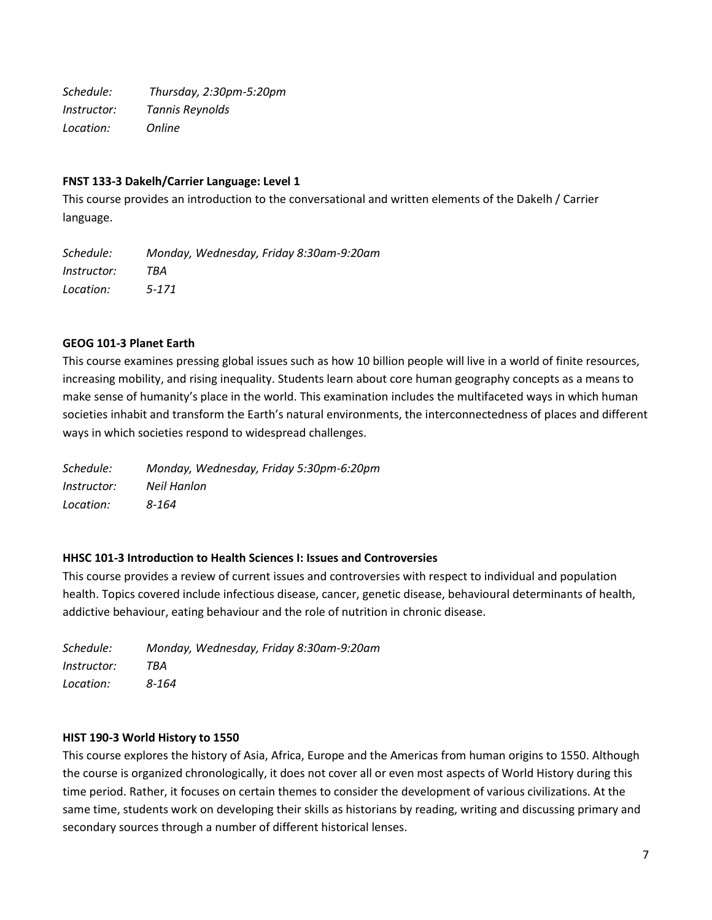*Schedule: Thursday, 2:30pm-5:20pm Instructor: Tannis Reynolds Location: Online*

#### **FNST 133-3 Dakelh/Carrier Language: Level 1**

This course provides an introduction to the conversational and written elements of the Dakelh / Carrier language.

*Schedule: Monday, Wednesday, Friday 8:30am-9:20am Instructor: TBA Location: 5-171*

#### **GEOG 101-3 Planet Earth**

This course examines pressing global issues such as how 10 billion people will live in a world of finite resources, increasing mobility, and rising inequality. Students learn about core human geography concepts as a means to make sense of humanity's place in the world. This examination includes the multifaceted ways in which human societies inhabit and transform the Earth's natural environments, the interconnectedness of places and different ways in which societies respond to widespread challenges.

*Schedule: Monday, Wednesday, Friday 5:30pm-6:20pm Instructor: Neil Hanlon Location: 8-164*

#### **HHSC 101-3 Introduction to Health Sciences I: Issues and Controversies**

This course provides a review of current issues and controversies with respect to individual and population health. Topics covered include infectious disease, cancer, genetic disease, behavioural determinants of health, addictive behaviour, eating behaviour and the role of nutrition in chronic disease.

| Schedule:          | Monday, Wednesday, Friday 8:30am-9:20am |
|--------------------|-----------------------------------------|
| <i>Instructor:</i> | TBA                                     |
| Location:          | 8-164                                   |

#### **HIST 190-3 World History to 1550**

This course explores the history of Asia, Africa, Europe and the Americas from human origins to 1550. Although the course is organized chronologically, it does not cover all or even most aspects of World History during this time period. Rather, it focuses on certain themes to consider the development of various civilizations. At the same time, students work on developing their skills as historians by reading, writing and discussing primary and secondary sources through a number of different historical lenses.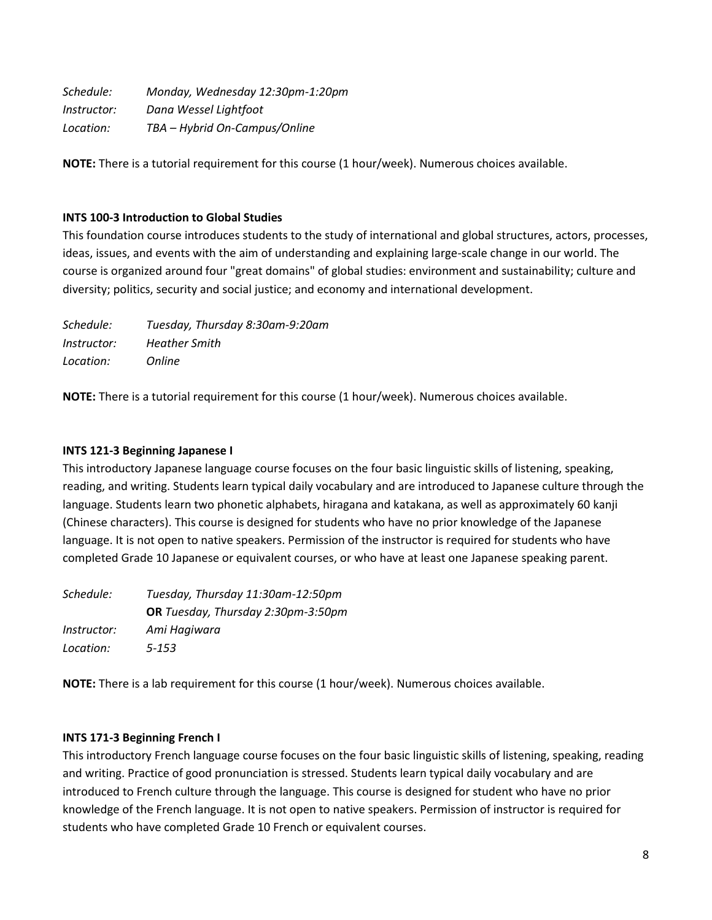| Schedule:          | Monday, Wednesday 12:30pm-1:20pm |
|--------------------|----------------------------------|
| <i>Instructor:</i> | Dana Wessel Lightfoot            |
| Location:          | TBA - Hybrid On-Campus/Online    |

**NOTE:** There is a tutorial requirement for this course (1 hour/week). Numerous choices available.

## **INTS 100-3 Introduction to Global Studies**

This foundation course introduces students to the study of international and global structures, actors, processes, ideas, issues, and events with the aim of understanding and explaining large-scale change in our world. The course is organized around four "great domains" of global studies: environment and sustainability; culture and diversity; politics, security and social justice; and economy and international development.

| Schedule:          | Tuesday, Thursday 8:30am-9:20am |
|--------------------|---------------------------------|
| <i>Instructor:</i> | <b>Heather Smith</b>            |
| Location:          | <i>Online</i>                   |

**NOTE:** There is a tutorial requirement for this course (1 hour/week). Numerous choices available.

## **INTS 121-3 Beginning Japanese I**

This introductory Japanese language course focuses on the four basic linguistic skills of listening, speaking, reading, and writing. Students learn typical daily vocabulary and are introduced to Japanese culture through the language. Students learn two phonetic alphabets, hiragana and katakana, as well as approximately 60 kanji (Chinese characters). This course is designed for students who have no prior knowledge of the Japanese language. It is not open to native speakers. Permission of the instructor is required for students who have completed Grade 10 Japanese or equivalent courses, or who have at least one Japanese speaking parent.

| Schedule:          | Tuesday, Thursday 11:30am-12:50pm         |
|--------------------|-------------------------------------------|
|                    | <b>OR</b> Tuesday, Thursday 2:30pm-3:50pm |
| <i>Instructor:</i> | Ami Hagiwara                              |
| Location:          | $5 - 153$                                 |

**NOTE:** There is a lab requirement for this course (1 hour/week). Numerous choices available.

## **INTS 171-3 Beginning French I**

This introductory French language course focuses on the four basic linguistic skills of listening, speaking, reading and writing. Practice of good pronunciation is stressed. Students learn typical daily vocabulary and are introduced to French culture through the language. This course is designed for student who have no prior knowledge of the French language. It is not open to native speakers. Permission of instructor is required for students who have completed Grade 10 French or equivalent courses.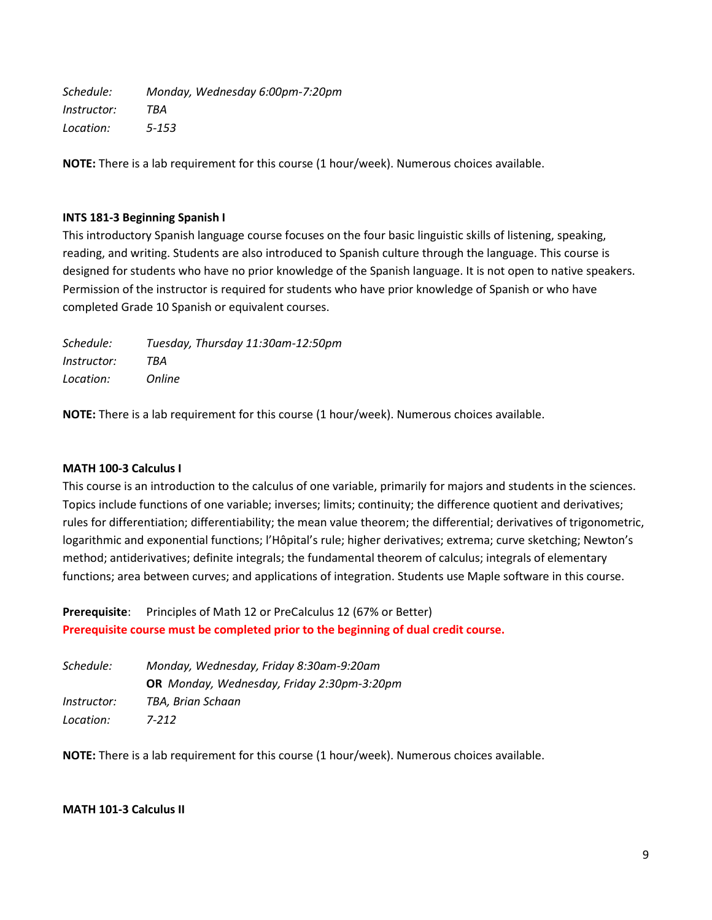*Schedule: Monday, Wednesday 6:00pm-7:20pm Instructor: TBA Location: 5-153*

**NOTE:** There is a lab requirement for this course (1 hour/week). Numerous choices available.

## **INTS 181-3 Beginning Spanish I**

This introductory Spanish language course focuses on the four basic linguistic skills of listening, speaking, reading, and writing. Students are also introduced to Spanish culture through the language. This course is designed for students who have no prior knowledge of the Spanish language. It is not open to native speakers. Permission of the instructor is required for students who have prior knowledge of Spanish or who have completed Grade 10 Spanish or equivalent courses.

| Schedule:          | Tuesday, Thursday 11:30am-12:50pm |
|--------------------|-----------------------------------|
| <i>Instructor:</i> | TBA                               |
| Location:          | <i>Online</i>                     |

**NOTE:** There is a lab requirement for this course (1 hour/week). Numerous choices available.

## **MATH 100-3 Calculus I**

This course is an introduction to the calculus of one variable, primarily for majors and students in the sciences. Topics include functions of one variable; inverses; limits; continuity; the difference quotient and derivatives; rules for differentiation; differentiability; the mean value theorem; the differential; derivatives of trigonometric, logarithmic and exponential functions; l'Hôpital's rule; higher derivatives; extrema; curve sketching; Newton's method; antiderivatives; definite integrals; the fundamental theorem of calculus; integrals of elementary functions; area between curves; and applications of integration. Students use Maple software in this course.

Prerequisite: Principles of Math 12 or PreCalculus 12 (67% or Better) **Prerequisite course must be completed prior to the beginning of dual credit course.**

| Schedule:          | Monday, Wednesday, Friday 8:30am-9:20am    |
|--------------------|--------------------------------------------|
|                    | OR Monday, Wednesday, Friday 2:30pm-3:20pm |
| <i>Instructor:</i> | TBA. Brian Schaan                          |
| Location:          | 7-212                                      |

**NOTE:** There is a lab requirement for this course (1 hour/week). Numerous choices available.

## **MATH 101-3 Calculus II**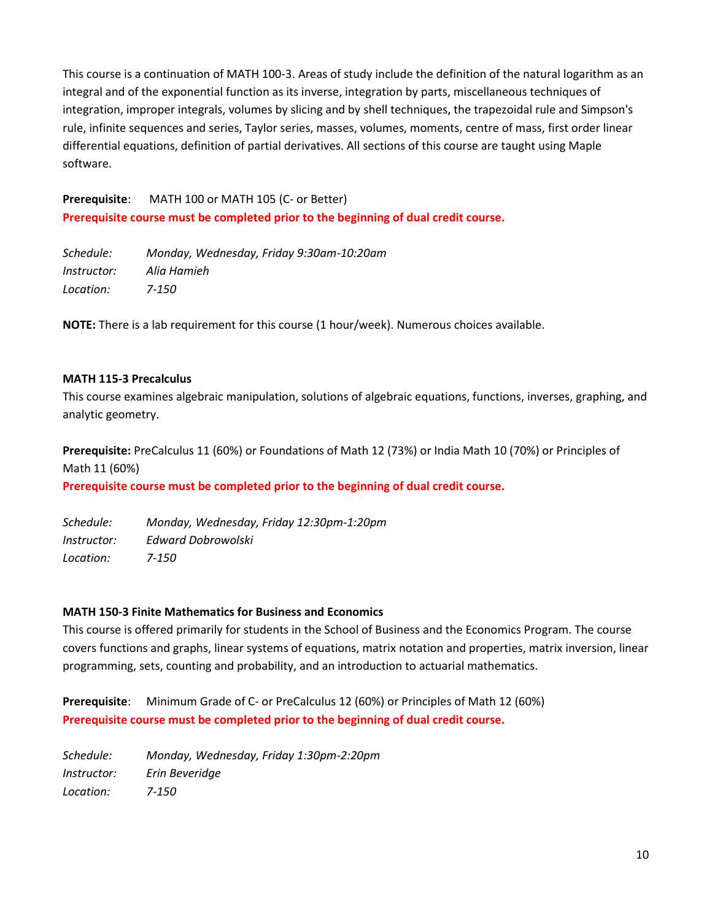This course is a continuation of MATH 100-3. Areas of study include the definition of the natural logarithm as an integral and of the exponential function as its inverse, integration by parts, miscellaneous techniques of integration, improper integrals, volumes by slicing and by shell techniques, the trapezoidal rule and Simpson's rule, infinite sequences and series, Taylor series, masses, volumes, moments, centre of mass, first order linear differential equations, definition of partial derivatives. All sections of this course are taught using Maple software.

**Prerequisite**: MATH 100 or MATH 105 (C- or Better) **Prerequisite course must be completed prior to the beginning of dual credit course.**

*Schedule: Monday, Wednesday, Friday 9:30am-10:20am Instructor: Alia Hamieh Location: 7-150*

**NOTE:** There is a lab requirement for this course (1 hour/week). Numerous choices available.

#### **MATH 115-3 Precalculus**

This course examines algebraic manipulation, solutions of algebraic equations, functions, inverses, graphing, and analytic geometry.

**Prerequisite:** PreCalculus 11 (60%) or Foundations of Math 12 (73%) or India Math 10 (70%) or Principles of Math 11 (60%)

**Prerequisite course must be completed prior to the beginning of dual credit course.**

*Schedule: Monday, Wednesday, Friday 12:30pm-1:20pm Instructor: Edward Dobrowolski Location: 7-150*

#### **MATH 150-3 Finite Mathematics for Business and Economics**

This course is offered primarily for students in the School of Business and the Economics Program. The course covers functions and graphs, linear systems of equations, matrix notation and properties, matrix inversion, linear programming, sets, counting and probability, and an introduction to actuarial mathematics.

**Prerequisite**: Minimum Grade of C- or PreCalculus 12 (60%) or Principles of Math 12 (60%) **Prerequisite course must be completed prior to the beginning of dual credit course.**

*Schedule: Monday, Wednesday, Friday 1:30pm-2:20pm Instructor: Erin Beveridge Location: 7-150*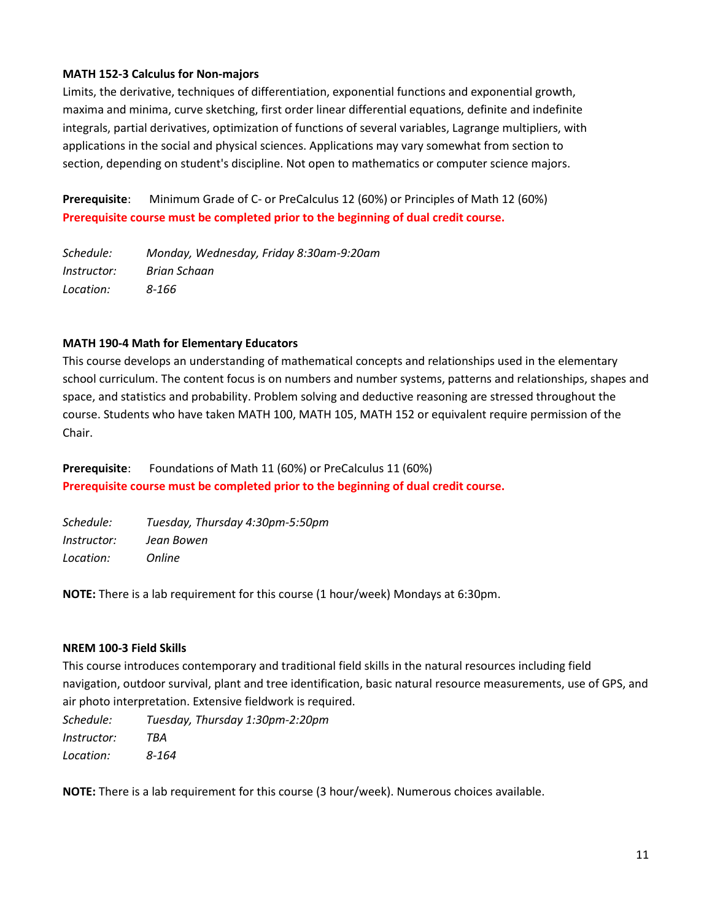## **MATH 152-3 Calculus for Non-majors**

Limits, the derivative, techniques of differentiation, exponential functions and exponential growth, maxima and minima, curve sketching, first order linear differential equations, definite and indefinite integrals, partial derivatives, optimization of functions of several variables, Lagrange multipliers, with applications in the social and physical sciences. Applications may vary somewhat from section to section, depending on student's discipline. Not open to mathematics or computer science majors.

**Prerequisite**: Minimum Grade of C- or PreCalculus 12 (60%) or Principles of Math 12 (60%) **Prerequisite course must be completed prior to the beginning of dual credit course.**

*Schedule: Monday, Wednesday, Friday 8:30am-9:20am Instructor: Brian Schaan Location: 8-166*

## **MATH 190-4 Math for Elementary Educators**

This course develops an understanding of mathematical concepts and relationships used in the elementary school curriculum. The content focus is on numbers and number systems, patterns and relationships, shapes and space, and statistics and probability. Problem solving and deductive reasoning are stressed throughout the course. Students who have taken MATH 100, MATH 105, MATH 152 or equivalent require permission of the Chair.

**Prerequisite**: Foundations of Math 11 (60%) or PreCalculus 11 (60%) **Prerequisite course must be completed prior to the beginning of dual credit course.**

| Schedule:          | Tuesday, Thursday 4:30pm-5:50pm |
|--------------------|---------------------------------|
| <i>Instructor:</i> | Jean Bowen                      |
| Location:          | <i>Online</i>                   |

**NOTE:** There is a lab requirement for this course (1 hour/week) Mondays at 6:30pm.

#### **NREM 100-3 Field Skills**

This course introduces contemporary and traditional field skills in the natural resources including field navigation, outdoor survival, plant and tree identification, basic natural resource measurements, use of GPS, and air photo interpretation. Extensive fieldwork is required.

*Schedule: Tuesday, Thursday 1:30pm-2:20pm Instructor: TBA Location: 8-164*

**NOTE:** There is a lab requirement for this course (3 hour/week). Numerous choices available.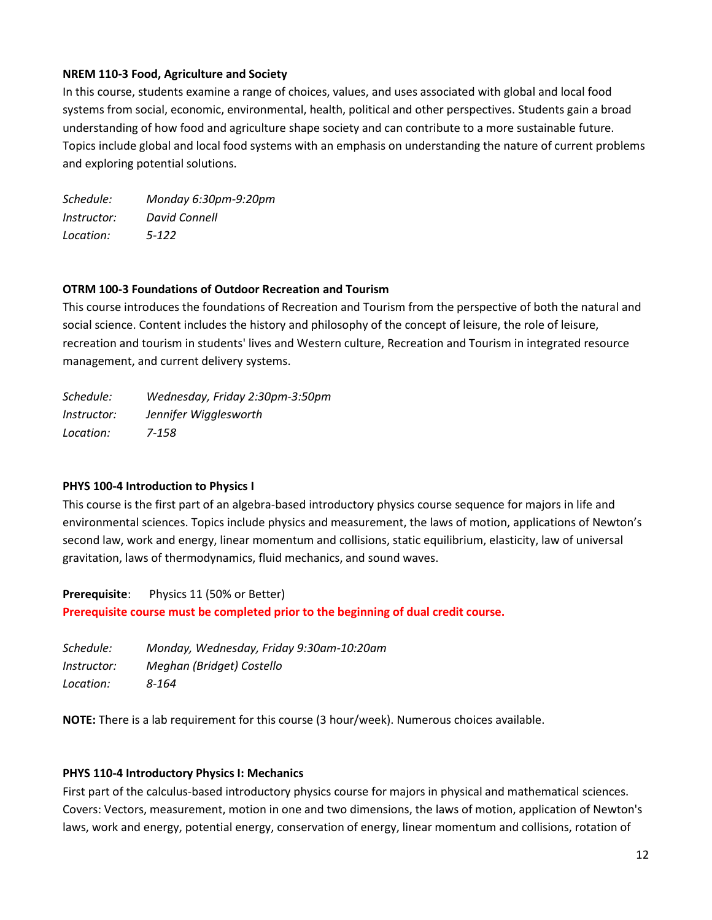## **NREM 110-3 Food, Agriculture and Society**

In this course, students examine a range of choices, values, and uses associated with global and local food systems from social, economic, environmental, health, political and other perspectives. Students gain a broad understanding of how food and agriculture shape society and can contribute to a more sustainable future. Topics include global and local food systems with an emphasis on understanding the nature of current problems and exploring potential solutions.

*Schedule: Monday 6:30pm-9:20pm Instructor: David Connell Location: 5-122*

### **OTRM 100-3 Foundations of Outdoor Recreation and Tourism**

This course introduces the foundations of Recreation and Tourism from the perspective of both the natural and social science. Content includes the history and philosophy of the concept of leisure, the role of leisure, recreation and tourism in students' lives and Western culture, Recreation and Tourism in integrated resource management, and current delivery systems.

*Schedule: Wednesday, Friday 2:30pm-3:50pm Instructor: Jennifer Wigglesworth Location: 7-158*

## **PHYS 100-4 Introduction to Physics I**

This course is the first part of an algebra-based introductory physics course sequence for majors in life and environmental sciences. Topics include physics and measurement, the laws of motion, applications of Newton's second law, work and energy, linear momentum and collisions, static equilibrium, elasticity, law of universal gravitation, laws of thermodynamics, fluid mechanics, and sound waves.

**Prerequisite**: Physics 11 (50% or Better)

**Prerequisite course must be completed prior to the beginning of dual credit course.**

| Schedule:          | Monday, Wednesday, Friday 9:30am-10:20am |
|--------------------|------------------------------------------|
| <i>Instructor:</i> | Meghan (Bridget) Costello                |
| Location:          | 8-164                                    |

**NOTE:** There is a lab requirement for this course (3 hour/week). Numerous choices available.

## **PHYS 110-4 Introductory Physics I: Mechanics**

First part of the calculus-based introductory physics course for majors in physical and mathematical sciences. Covers: Vectors, measurement, motion in one and two dimensions, the laws of motion, application of Newton's laws, work and energy, potential energy, conservation of energy, linear momentum and collisions, rotation of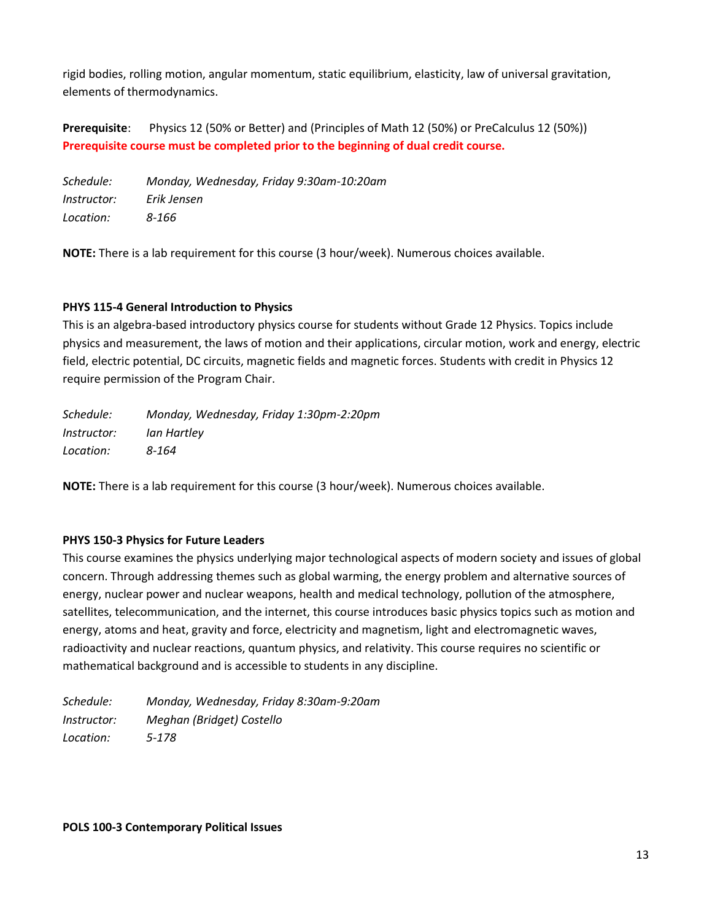rigid bodies, rolling motion, angular momentum, static equilibrium, elasticity, law of universal gravitation, elements of thermodynamics.

**Prerequisite**: Physics 12 (50% or Better) and (Principles of Math 12 (50%) or PreCalculus 12 (50%)) **Prerequisite course must be completed prior to the beginning of dual credit course.**

*Schedule: Monday, Wednesday, Friday 9:30am-10:20am Instructor: Erik Jensen Location: 8-166*

**NOTE:** There is a lab requirement for this course (3 hour/week). Numerous choices available.

## **PHYS 115-4 General Introduction to Physics**

This is an algebra-based introductory physics course for students without Grade 12 Physics. Topics include physics and measurement, the laws of motion and their applications, circular motion, work and energy, electric field, electric potential, DC circuits, magnetic fields and magnetic forces. Students with credit in Physics 12 require permission of the Program Chair.

| Schedule:   | Monday, Wednesday, Friday 1:30pm-2:20pm |
|-------------|-----------------------------------------|
| Instructor: | lan Hartley                             |
| Location:   | 8-164                                   |

**NOTE:** There is a lab requirement for this course (3 hour/week). Numerous choices available.

## **PHYS 150-3 Physics for Future Leaders**

This course examines the physics underlying major technological aspects of modern society and issues of global concern. Through addressing themes such as global warming, the energy problem and alternative sources of energy, nuclear power and nuclear weapons, health and medical technology, pollution of the atmosphere, satellites, telecommunication, and the internet, this course introduces basic physics topics such as motion and energy, atoms and heat, gravity and force, electricity and magnetism, light and electromagnetic waves, radioactivity and nuclear reactions, quantum physics, and relativity. This course requires no scientific or mathematical background and is accessible to students in any discipline.

*Schedule: Monday, Wednesday, Friday 8:30am-9:20am Instructor: Meghan (Bridget) Costello Location: 5-178*

**POLS 100-3 Contemporary Political Issues**